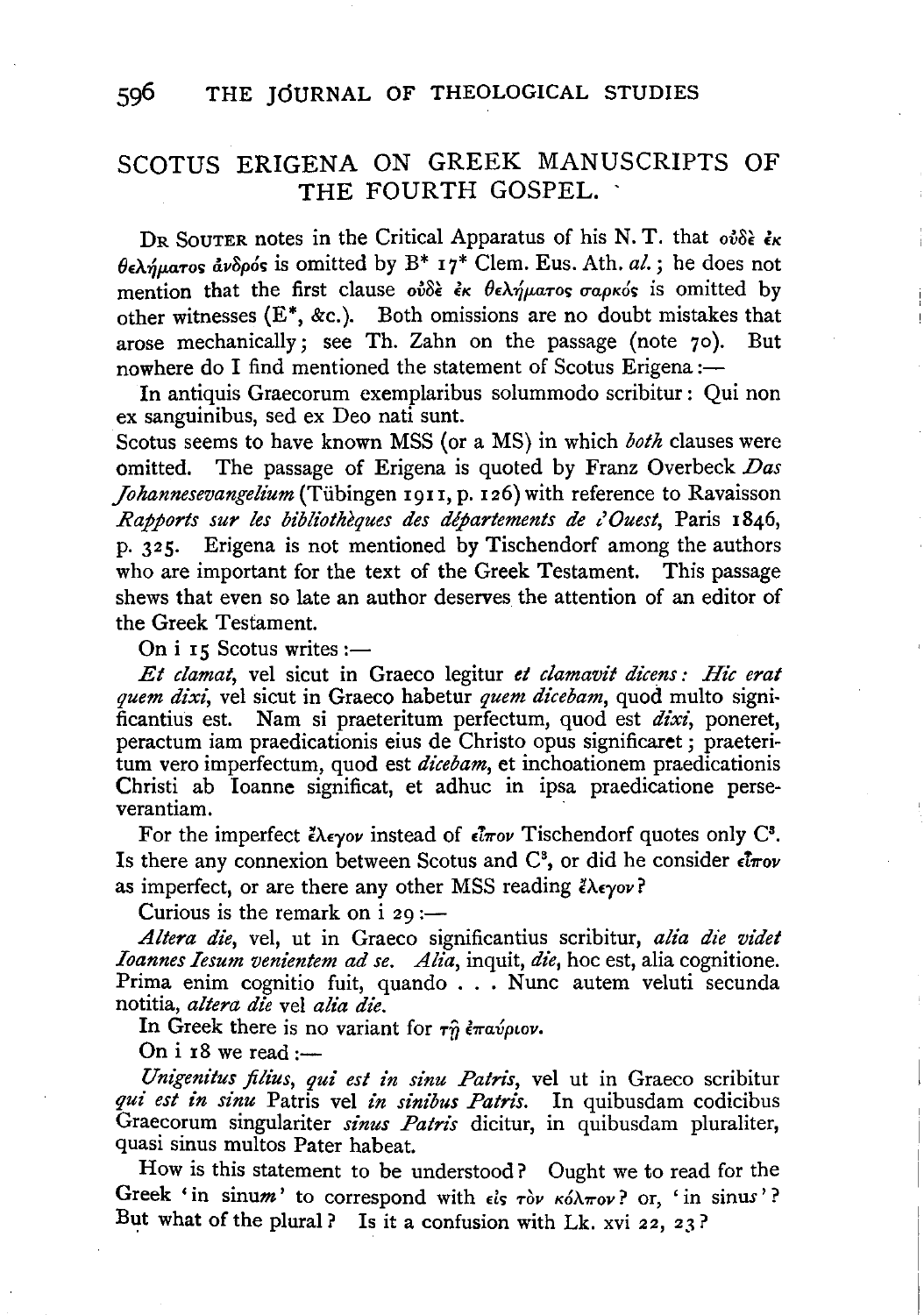## SCOTUS ERIGENA ON GREEK MANUSCRIPTS OF THE FOURTH GOSPEL.

DR SOUTER notes in the Critical Apparatus of his N. T. that  $\delta \delta \delta \epsilon \partial \epsilon$  $\theta \epsilon \hat{\lambda}$ *nuaros avodos* is omitted by B<sup>\*</sup> 17<sup>\*</sup> Clem. Eus. Ath. *al.* ; he does not mention that the first clause *ούδε εκ θελήματος σαρκός* is omitted by other witnesses  $(E^*, \&c)$ . Both omissions are no doubt mistakes that arose mechanically; see Th. Zahn on the passage (note 70). But nowhere do I find mentioned the statement of Scotus Erigena :-

In antiquis Graecorum exemplaribus solummodo scribitur : Qui non ex sanguinibus, sed ex Deo nati sunt.

Scotus seems to have known MSS (or a MS) in which *both* clauses were omitted. The passage of Erigena is quoted by Franz Overbeck *Das Johannesevangelium* (Tübingen 1911, p. 126) with reference to Ravaisson *Rapports sur les bibliotheques des dlpartements de t'Ouest,* Paris I846, p. 325. Erigena is not mentioned by Tischendorf among the authors who are important for the text of the Greek Testament. This passage shews that even so late an author deserves the attention of an editor of the Greek Testament.

On i  $15$  Scotus writes:-

*Et clamat,* vel sicut in Graeco legitur *et clamavit di'cens: Hie erat quem dixi, vel sicut in Graeco habetur <i>quem dicebam*, quod multo significantius est. Nam si praeteritum perfectum, quod est *dixi,* poneret, peractum iam praedicationis eius de Christo opus significaret ; praeteritum vero imperfectum, quod est *dicebam,* et inchoationem praedicationis Christi ab Ioanne significat, et adhuc in ipsa praedicatione perseverantiam.

For the imperfect  $\ell \lambda \epsilon \gamma \omega \nu$  instead of  $\epsilon \ell \pi \omega \nu$  Tischendorf quotes only C<sup>s</sup>. Is there any connexion between Scotus and  $C^3$ , or did he consider  $\epsilon \bar{t} \pi \sigma \nu$ as imperfect, or are there any other MSS reading *ξλεγον*?

Curious is the remark on  $i$  29 :-

*Altera die,* vel, ut in Graeco significantius scribitur, *alia die videt Ioannes Iesum venientem ad se. Alia,* inquit, *die,* hoc est, alia cognitione. Prima enim cognitio fuit, quando . . . Nunc autem veluti secunda notitia, *altera die* vel *alia die.* 

In Greek there is no variant for  $\tau \hat{\eta}$  *i* $\pi \alpha \hat{\nu} \rho \omega \nu$ .

On  $i$  18 we read: $\cdots$ 

*Unigenitus filius, qui est in sinu Patris,* vel ut in Graeco scribitur *qui est in sinu* Patris vel *in sinibus Patrt's.* In quibusdam codicibus Graecorum singulariter *sinus Patris* dicitur, in quibusdam pluraliter, quasi sinus multos Pater habeat.

How is this statement to be understood? Ought we to read for the Greek 'in sinum' to correspond with  $\epsilon$ *is*  $\tau \delta \nu \kappa \delta \lambda \pi \nu$ ? or, 'in sinus'? But what of the plural? Is it a confusion with Lk. xvi 22, 23?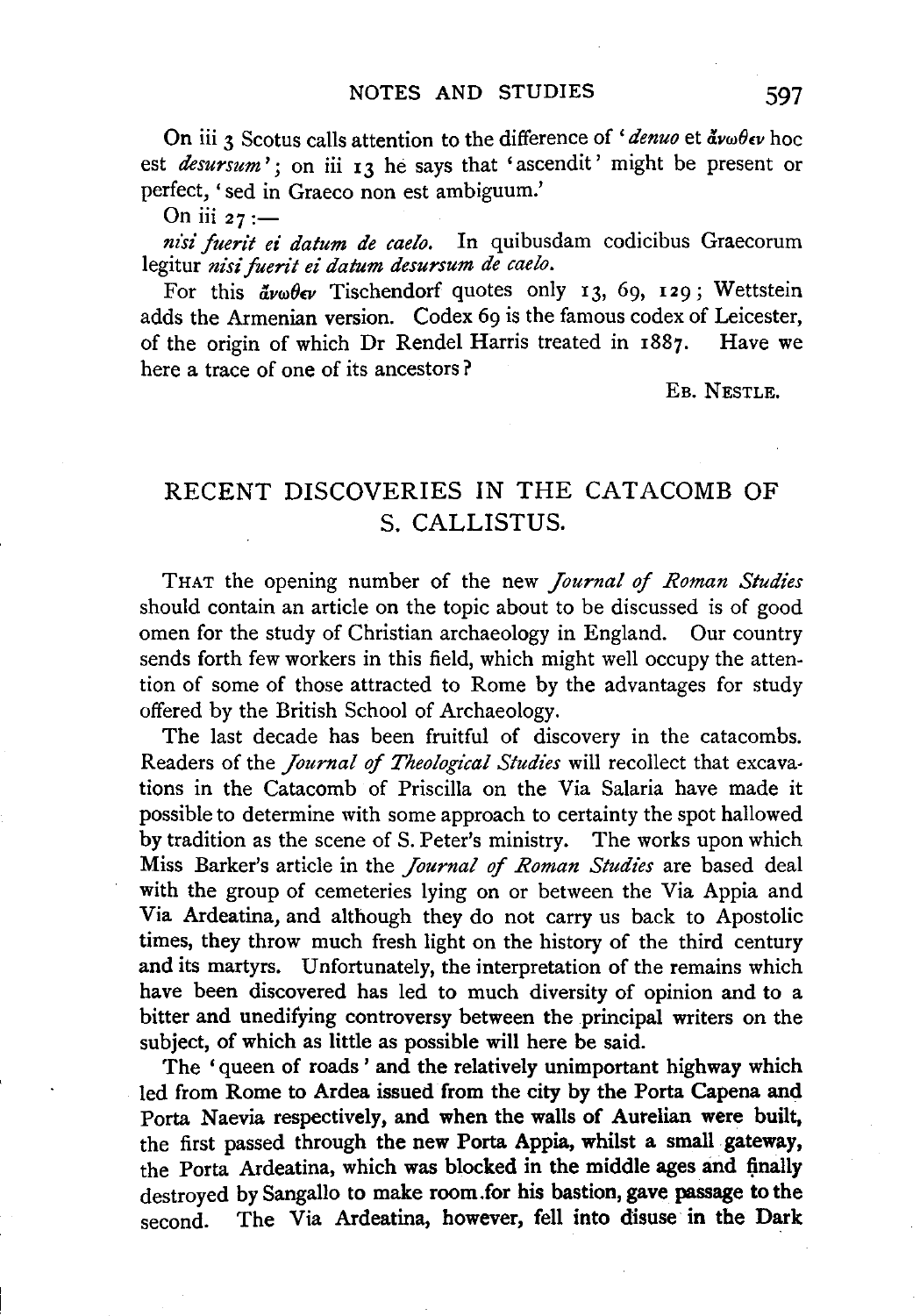On iii 3 Scotus calls attention to the difference of *' denuo* et άνωθεν hoc est *desursum'*; on iii 13 he says that 'ascendit' might be present or perfect, 'sed in Graeco non est ambiguum.'

On iii  $27:$ 

nisi fuerit ei datum de caelo. In quibusdam codicibus Graecorum legitur *nisifuerit ei datum desursum de caelo.* 

For this  $\frac{d}{dx}$  $\theta$ ev Tischendorf quotes only 13, 69, 129; Wettstein adds the Armenian version. Codex 69 is the famous codex of Leicester, of the origin of which Dr Rendel Harris treated in 1887. Have we here a trace of one of its ancestors?

EB. NESTLE.

## RECENT DISCOVERIES IN THE CATACOMB OF S. CALLISTUS.

THAT the opening number of the new *Journal of Roman Studies*  should contain an article on the topic about to be discussed is of good omen for the study of Christian archaeology in England. Our country sends forth few workers in this field, which might well occupy the attention of some of those attracted to Rome by the advantages for study offered by the British School of Archaeology.

The last decade has been fruitful of discovery in the catacombs. Readers of the *Journal* of *Theological Studies* will recollect that excavations in the Catacomb of Priscilla on the Via Salaria have made it possible to determine with some approach to certainty the spot hallowed by tradition as the scene of S. Peter's ministry. The works upon which Miss Barker's article in the *Journal* of *Roman Studies* are based deal with the group of cemeteries lying on or between the Via Appia and Via Ardeatina, and although they do not carry us back to Apostolic times, they throw much fresh light on the history of the third century and its martyrs. Unfortunately, the interpretation of the remains which have been discovered has led to much diversity of opinion and to a bitter and unedifying controversy between the principal writers on the subject, of which as little as possible will here be said.

The 'queen of roads ' and the relatively unimportant highway which led from Rome to Ardea issued from the city by the Porta Capena and Porta Naevia respectively, and when the walls of Autelian were built, the first passed through the new Porta Appia, whilst a small gateway, the Porta Ardeatina, which was blocked in the middle ages and finally destroyed by Sangallo to make room.for his bastion, gave passage to the second. The Via Ardeatina, however, fell into disuse in the Dark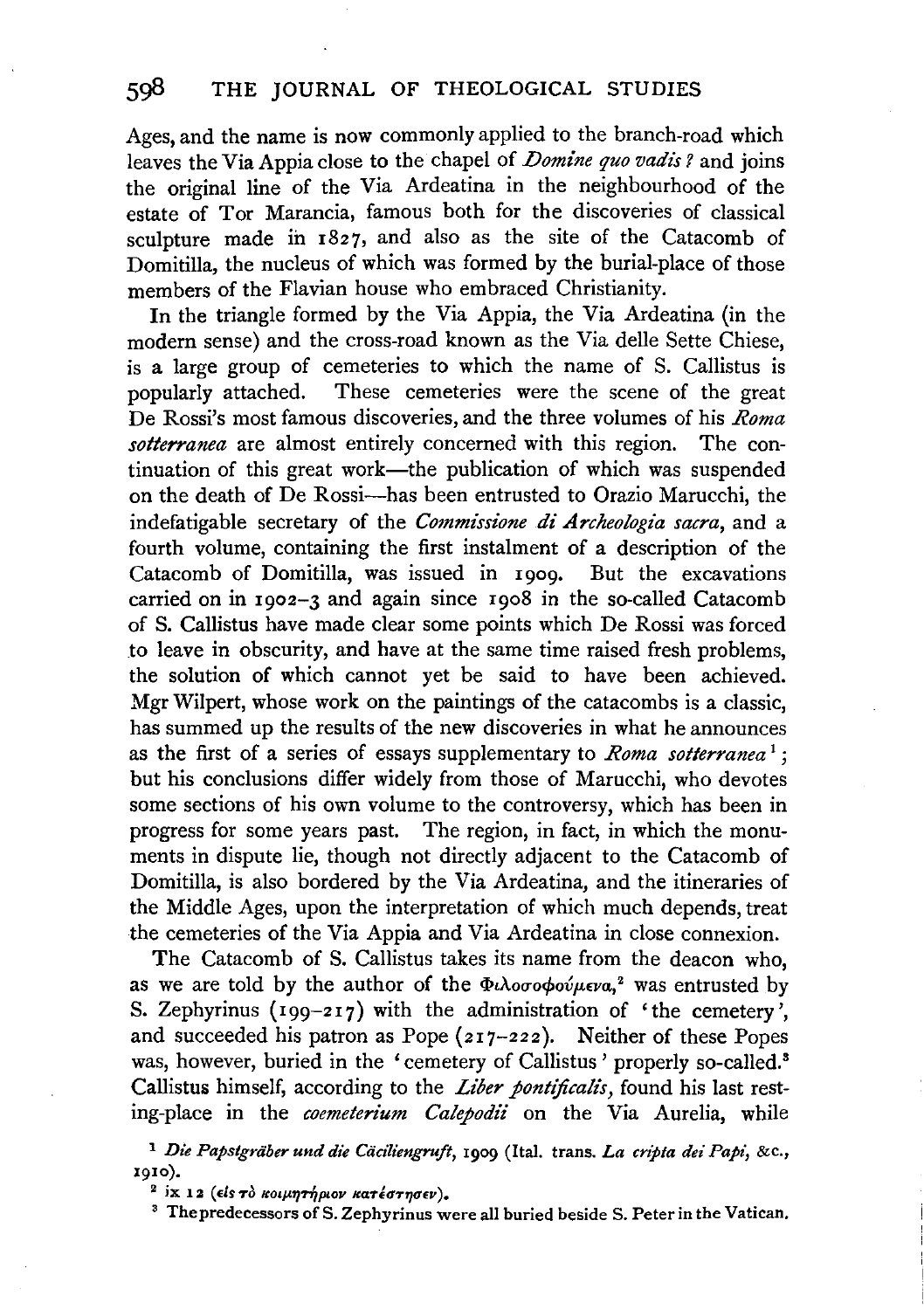Ages, and the name is now commonly applied to the branch-road which leaves the Via Appia close to the chapel of *Domine quo vadis?* and joins the original line of the Via Ardeatina in the neighbourhood of the estate of Tor Marancia, famous both for the discoveries of classical sculpture made in 1827, and also as the site of the Catacomb of Domitilla, the nucleus of which was formed by the burial-place of those members of the Flavian house who embraced Christianity.

In the triangle formed by the Via Appia, the Via Ardeatina (in the modem sense) and the cross-road known as the Via delle Sette Chiese, is a large group of cemeteries to which the name of S. Callistus is popularly attached. These cemeteries were the scene of the great These cemeteries were the scene of the great De Rossi's most famous discoveries, and the three volumes of his *Roma sotterranea* are almost entirely concerned with this region. The continuation of this great work—the publication of which was suspended on the death of De Rossi-has been entrusted to Orazio Marucchi, the indefatigable secretary of the *Commissione di Archeologia sacra,* and a fourth volume, containing the first instalment of a description of the Catacomb of Domitilla, was issued in 1909. But the excavations carried on in 1902-3 and again since 1908 in the so-called Catacomb of S. Callistus have made clear some points which De Rossi was forced to leave in obscurity, and have at the same time raised fresh problems, the solution of which cannot yet be said to have been achieved. Mgr Wilpert, whose work on the paintings of the catacombs is a classic, has summed up the results of the new discoveries in what he announces as the first of a series of essays supplementary to *Roma sotferranea* 1 ; but his conclusions differ widely from those of Marucchi, who devotes some sections of his own volume to the controversy, which has been in progress for some years past. The region, in fact, in which the monuments in dispute lie, though not directly adjacent to the Catacomb of Domitilla, is also bordered by the Via Ardeatina, and the itineraries of the Middle Ages, upon the interpretation of which much depends, treat the cemeteries of the Via Appia and Via Ardeatina in close connexion.

The Catacomb of S. Callistus takes its name from the deacon who, as we are told by the author of the  $\Phi\lambda$ .oro $\phi$ *ov*/ $\mu\epsilon$ va,<sup>2</sup> was entrusted by S. Zephyrinus ( $199-217$ ) with the administration of 'the cemetery', and succeeded his patron as Pope (217-222). Neither of these Popes was, however, buried in the 'cemetery of Callistus' properly so-called.<sup>8</sup> Callistus himself, according to the *Liber pontijicalz"s,* found his last resting-place in the *coemeterium Calepodii* on the Via Aurelia, while

<sup>1</sup> Die Papstgräber und die Cäciliengruft, 1909 (Ital. trans. La cripta dei Papi, &c., 1910).<br><sup>2</sup> ix 12 (είς τὸ κοιμητήριον κατέστησεν).

<sup>3</sup> The predecessors of S. Zephyrinus were all buried beside S. Peter in the Vatican.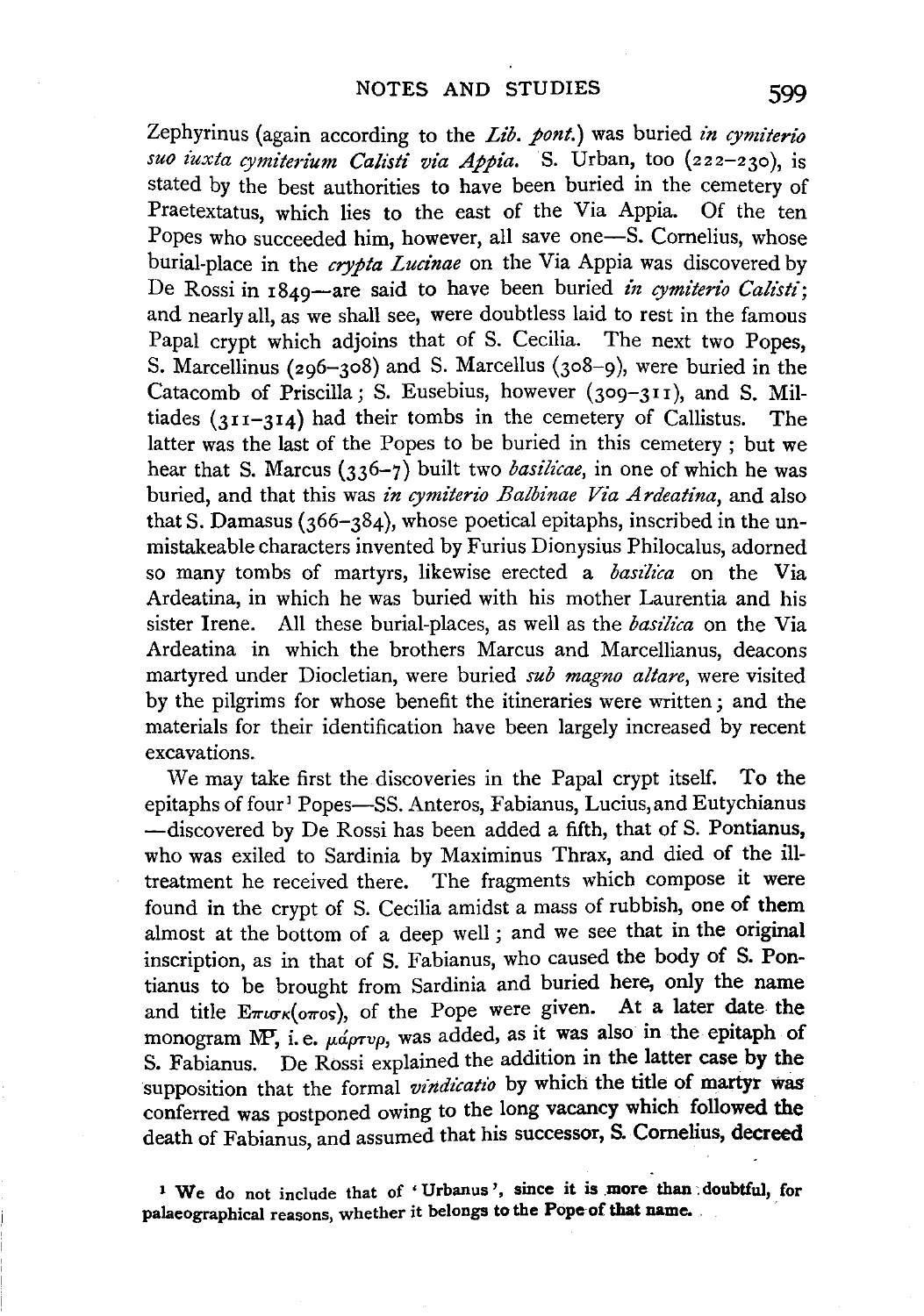Zephyrinus (again according to the *Li'b. pont.)* was buried *in cymiterio suo iuxta cymiterium Calz'sti via Appia.* S. Urban, too (222-230), is stated by the best authorities to have been buried in the cemetery of Praetextatus, which lies to the east of the Via Appia. Of the ten Popes who succeeded him, however, all save one-S. Cornelius, whose burial-place in the *crypta Lucinae* on the Via Appia was discovered by De Rossi in 1849—are said to have been buried *in cymiterio Calisti*; and nearly all, as we shall see, were doubtless laid to rest in the famous Papal crypt which adjoins that of S. Cecilia. The next two Popes, S. Marcellinus ( $206 - 308$ ) and S. Marcellus ( $308 - 9$ ), were buried in the Catacomb of Priscilla; S. Eusebius, however  $(309-311)$ , and S. Miltiades  $(311-314)$  had their tombs in the cemetery of Callistus. The latter was the last of the Popes to be buried in this cemetery ; but we hear that S. Marcus (336-7) built two *basilicae*, in one of which he was buried, and that this was *in cymiterio Balbinae Via Ardeatina,* and also that S. Damasus (366-384), whose poetical epitaphs, inscribed in the unmistakeable characters invented by Furius Dionysius Philocalus, adorned so many tombs of martyrs, likewise erected a *basilica* on the Via Ardeatina, in which he was buried with his mother Laurentia and his sister Irene. All these burial-places, as well as the *basz'lica* on the Via Ardeatina in which the brothers Marcus and Marcellianus, deacons martyred under Diocletian, were buried *sub magno altare,* were visited by the pilgrims for whose benefit the itineraries were written ; and the materials for their identification have been largely increased by recent excavations.

We may take first the discoveries in the Papal crypt itself. To the epitaphs of four<sup>1</sup> Popes-SS. Anteros, Fabianus, Lucius, and Eutychianus -discovered by De Rossi has been added a fifth, that of S. Pontianus, who was exiled to Sardinia by Maximinus Thrax, and died of the illtreatment he received there. The fragments which compose it were found in the crypt of S. Cecilia amidst a mass of rubbish, one of them almost at the bottom of a deep well ; and we see that in the original inscription, as in that of S. Fabianus, who caused the body of S. Pontianus to be brought from Sardinia and buried here, only the name and title  $E\pi i\sigma\kappa(\sigma\bar{\sigma} s)$ , of the Pope were given. At a later date the monogram MP, i.e.  $\mu\acute{a} \rho\tau v\rho$ , was added, as it was also in the epitaph of S. Fabianus. De Rossi explained the addition in the latter case by the supposition that the formal *vindicatio* by which the title of martyr was conferred was postponed owing to the long vacancy which followed the death of Fabianus, and assumed that his successor, S. Cornelius, decreed

<sup>&</sup>lt;sup>1</sup> We do not include that of 'Urbanus', since it is more than doubtful, for palaeographical reasons, whether it belongs to the Pope of that name.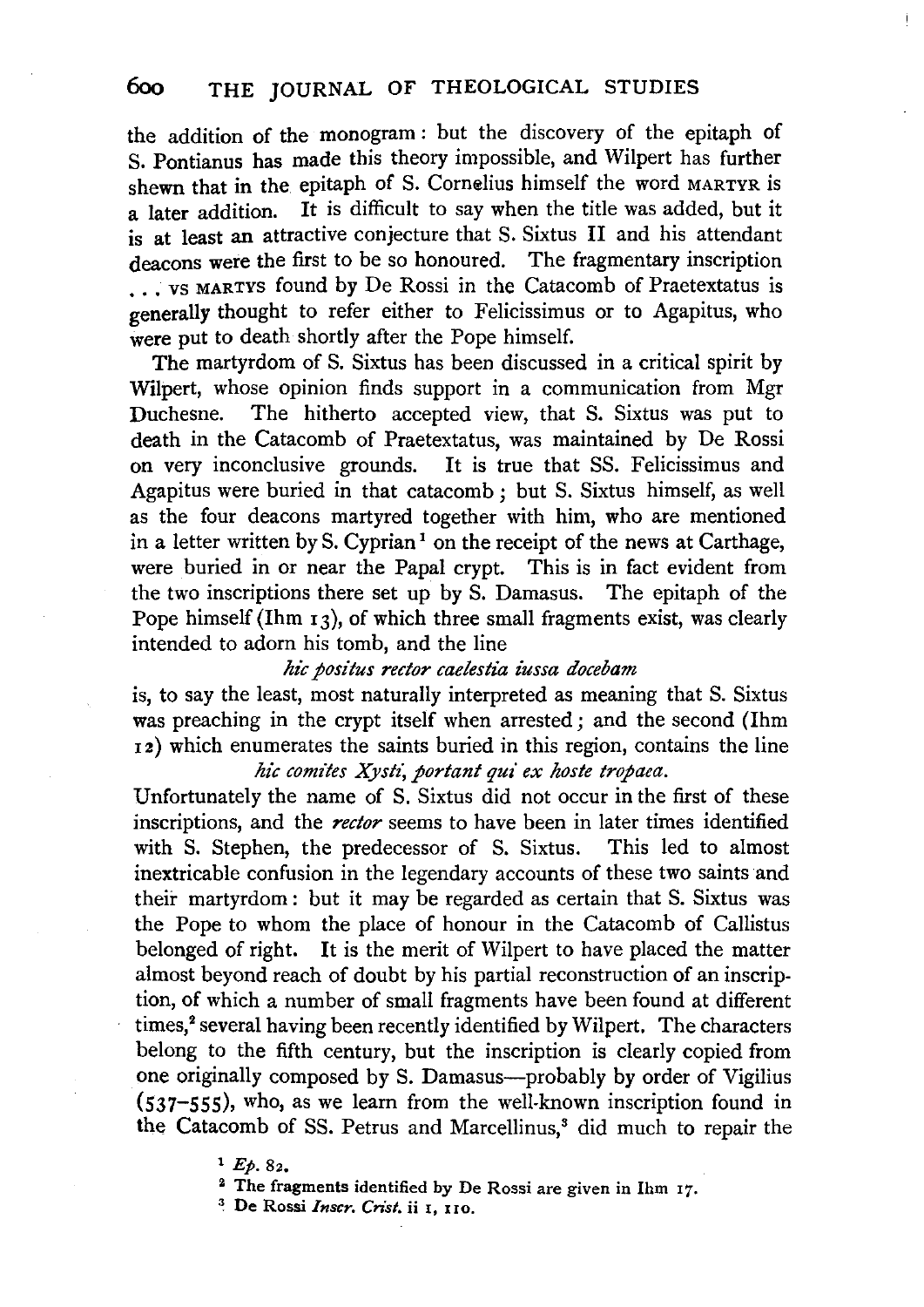the addition of the monogram : but the discovery of the epitaph of s. Pontianus has made this theory impossible, and Wilpert has further shewn that in the epitaph of S. Cornelius himself the word MARTYR is a later addition. It is difficult to say when the title was added, but it is at least an attractive conjecture that S. Sixtus II and his attendant deacons were the first to be so honoured. The fragmentary inscription ... vs MARTYS found by De Rossi in the Catacomb of Praetextatus is generally thought to refer either to Felicissimus or to Agapitus, who were put to death shortly after the Pope himself.

The martyrdom of S. Sixtus has been discussed in a critical spirit by Wilpert, whose opinion finds support in a communication from Mgr Duchesne. The hitherto accepted view, that S. Sixtus was put to death in the Catacomb of Praetextatus, was maintained by De Rossi on very inconclusive grounds. It is true that SS. Felicissimus and Agapitus were buried in that catacomb ; but S. Sixtus himself, as well as the four deacons martyred together with him, who are mentioned in a letter written by S. Cyprian<sup>1</sup> on the receipt of the news at Carthage, were buried in or near the Papal crypt. This is in fact evident from the two inscriptions there set up by S. Damasus. The epitaph of the Pope himself (Ihm 13), of which three small fragments exist, was clearly intended to adorn his tomb, and the line

## *hi'c positus rector caelesti'a z'ussa docebam*

is, to say the least, most naturally interpreted as meaning that S. Sixtus was preaching in the crypt itself when arrested; and the second (Ihm 1 2) which enumerates the saints buried in this region, contains the line hic comites Xysti, portant qui ex hoste tropaea.

Unfortunately the name of S. Sixtus did not occur in the first of these inscriptions, and the *rector* seems to have been in later times identified with S. Stephen, the predecessor of S. Sixtus. This led to almost inextricable confusion in the legendary accounts of these two saints and their martyrdom: but it may be regarded as certain that S. Sixtus was the Pope to whom the place of honour in the Catacomb of Callistus belonged of right. It is the merit of Wilpert to have placed the matter almost beyond reach of doubt by his partial reconstruction of an inscription, of which a number of small fragments have been found at different times,<sup>2</sup> several having been recently identified by Wilpert. The characters belong to the fifth century, but the inscription is clearly copied from one originally composed by S. Damasus-probably by order of Vigilius (537-555), who, as we learn from the well-known inscription found in the Catacomb of SS. Petrus and Marcellinus,<sup>3</sup> did much to repair the

<sup>1</sup>Ep. 82. 2 The fragments identified by De Rossi are given in Ihm 17. 3 De Rossi *lnscr. Crist.* ii I, uo.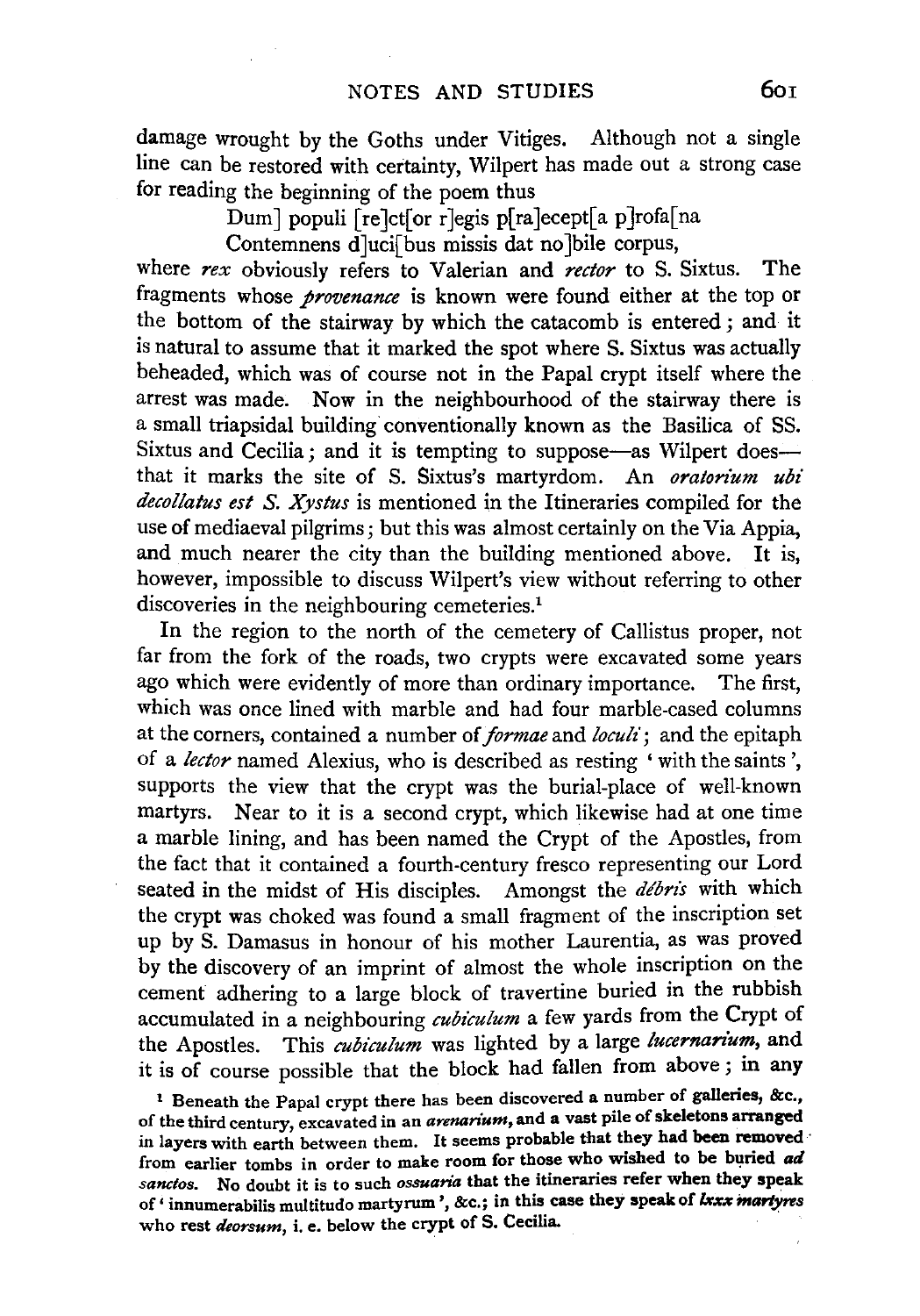damage wrought by the Goths under Vitiges. Although not a single line can be restored with certainty, Wilpert has made out a strong case for reading the beginning of the poem thus

Dum] populi [re]ct[or r]egis p[ra]ecept[a p]rofa[na

Contemnens d]uci[bus missis dat no ]bile corpus,

where *rex* obviously refers to Valerian and *rector* to S. Sixtus. The fragments whose *provenance* is known were found either at the top or the bottom of the stairway by which the catacomb is entered; and it is natural to assume that it marked the spot where S. Sixtus was actually beheaded, which was of course not in the Papal crypt itself where the arrest was made. Now in the neighbourhood of the stairway there is a small triapsidal building conventionally known as the Basilica of SS. Sixtus and Cecilia; and it is tempting to suppose—as Wilpert does-that it marks the site of S. Sixtus's martyrdom. An *oratorium ubi decollatus est S. Xystus* is mentioned in the Itineraries compiled for the use of mediaeval pilgrims; but this was almost certainly on the Via Appia, and much nearer the city than the building mentioned above. It is, however, impossible to discuss Wilpert's view without referring to other discoveries in the neighbouring cemeteries.<sup>1</sup>

In the region to the north of the cemetery of Callistus proper, not far from the fork of the roads, two crypts were excavated some years ago which were evidently of more than ordinary importance. The first, which was once lined with marble and had four marble-cased columns at the corners, contained a number of *formae* and *loculz';* and the epitaph of a *lector* named Alexius, who is described as resting ' with the saints ', supports the view that the crypt was the burial-place of well-known martyrs. Near to it is a second crypt, which likewise had at one time a marble lining, and has been named the Crypt of the Apostles, from the fact that it contained a fourth-century fresco representing our Lord seated in the midst of His disciples. Amongst the *debris* with which the crypt was choked was found a small fragment of the inscription set up by S. Damasus in honour of his mother Laurentia, as was proved by the discovery of an imprint of almost the whole inscription on the cement adhering to a large block of travertine buried in the rubbish accumulated in a neighbouring *cubiculum* a few yards from the Crypt of the Apostles. This *cubiculum* was lighted by a large *lucernarium,* and it is of course possible that the block had fallen from above ; in any

<sup>1</sup> Beneath the Papal crypt there has been discovered a number of galleries, &c., of the third century, excavated in an *arenan'um,* and a vast pile of skeletons arranged in layers with earth between them. It seems probable that they had been removed from earlier tombs in order to make room for those who wished to be buried *ad sanctos.* No doubt it is to such *ossuaria* that the itineraries refer when they speak of ' innumerabilis multitudo martyrum', &c.; in this case they speak of lxxx martyres who rest *deorsum,* i. e. below the crypt of S. Cecilia.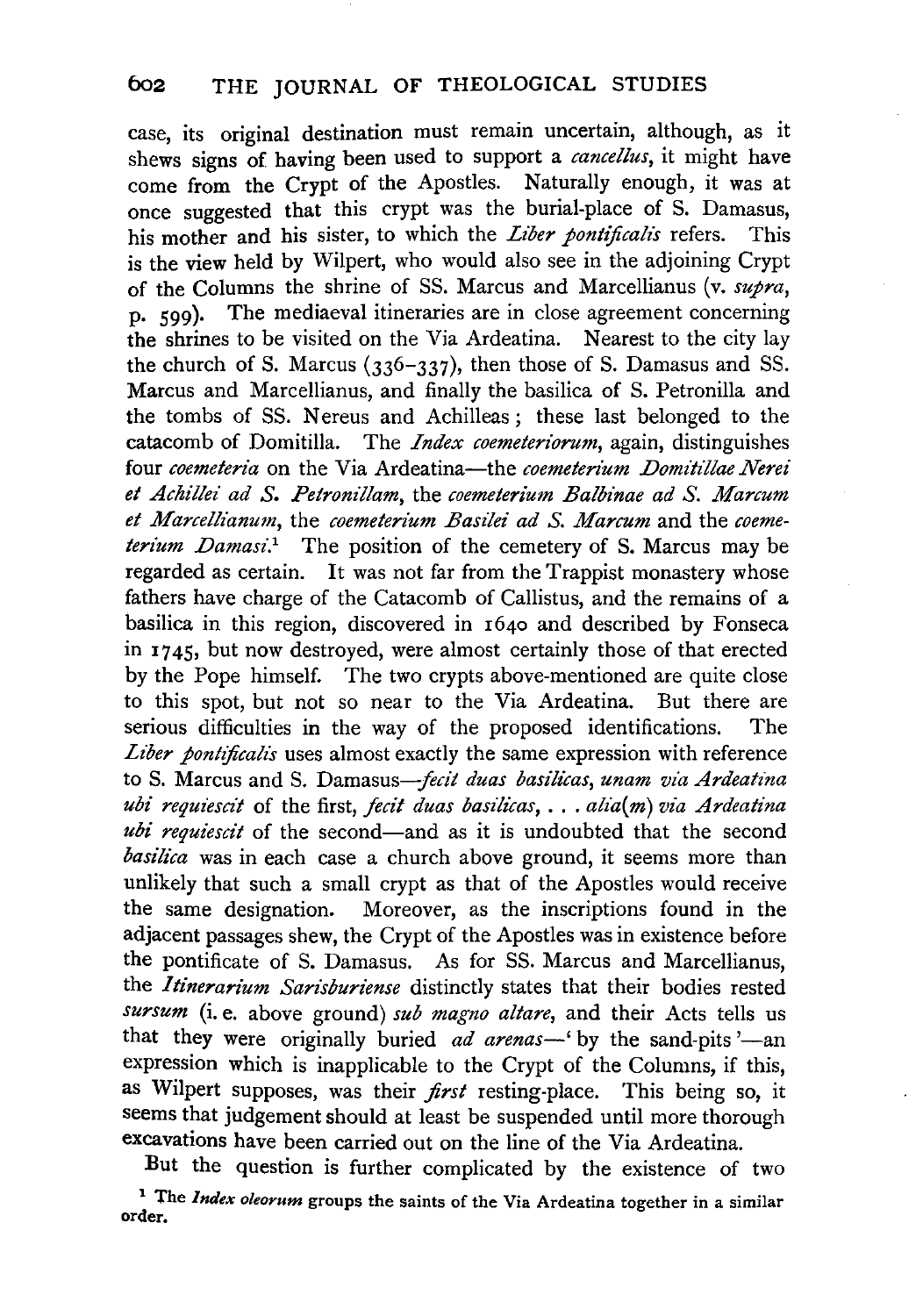case, its original destination must remain uncertain, although, as it shews signs of having been used to support a *cancellus,* it might have come from the Crypt of the Apostles. Naturally enough, it was at once suggested that this crypt was the burial-place of S. Damasus, his mother and his sister, to which the *Lz'ber pontificalis* refers. This is the view held by Wilpert, who would also see in the adjoining Crypt of the Columns the shrine of SS. Marcus and Marcellianus (v. *supra,*  p. 599). The mediaeval itineraries are in close agreement concerning the shrines to be visited on the Via Ardeatina. Nearest to the city lay the church of S. Marcus ( $336-337$ ), then those of S. Damasus and SS. Marcus and Marcellianus, and finally the basilica of S. Petronilla and the tombs of SS. Nereus and Achilleas : these last belonged to the catacomb of Domitilla. The *Index coemeteriorum,* again, distinguishes four *coemeteria* on the Via Ardeatina-the *coemeterium Domitillae Nerei et Ackillez' ad S. Petronillam,* the *coemeterium Balbinae ad S. Marcum*  et Marcellianum, the *coemeterium Basilei ad S. Marcum* and the *coemeterium Damasi.*1 The position of the cemetery of S. Marcus may be regarded as certain. It was not far from the Trappist monastery whose fathers have charge of the Catacomb of Callistus, and the remains of a basilica in this region, discovered in r64o and described by Fonseca in 1745, but now destroyed, were almost certainly those of that erected by the Pope himself. The two crypts above-mentioned are quite close to this spot, but not so near to the Via Ardeatina. But there are serious difficulties in the way of the proposed identifications. The *Liber pontificalis* uses almost exactly the same expression with reference to S. Marcus and S. Damasus-fecit duas basilicas, unam via Ardeatina *ubi requiescit* of the first, *fecit duas basilicas, ... alia(m) via Ardeatina ubi requiescit* of the second—and as it is undoubted that the second *basilica* was in each case a church above ground, it seems more than unlikely that such a small crypt as that of the Apostles would receive the same designation. Moreover, as the inscriptions found in the adjacent passages shew, the Crypt of the Apostles was in existence before the pontificate of S. Damasus. As for SS. Marcus and Marcellianus, the *ltinerarium San:Sburiense* distinctly states that their bodies rested *sursum* (i.e. above ground) *sub magno a/tare,* and their Acts tells us that they were originally buried *ad arenas*—' by the sand-pits '—an expression which is inapplicable to the Crypt of the Columns, if this, as Wilpert supposes, was their *first* resting-place. This being so, it seems that judgement should at least be suspended until more thorough excavations have been carried out on the line of the Via Ardeatina.

But the question is further complicated by the existence of two

<sup>&</sup>lt;sup>1</sup> The *Index oleorum* groups the saints of the Via Ardeatina together in a similar order.